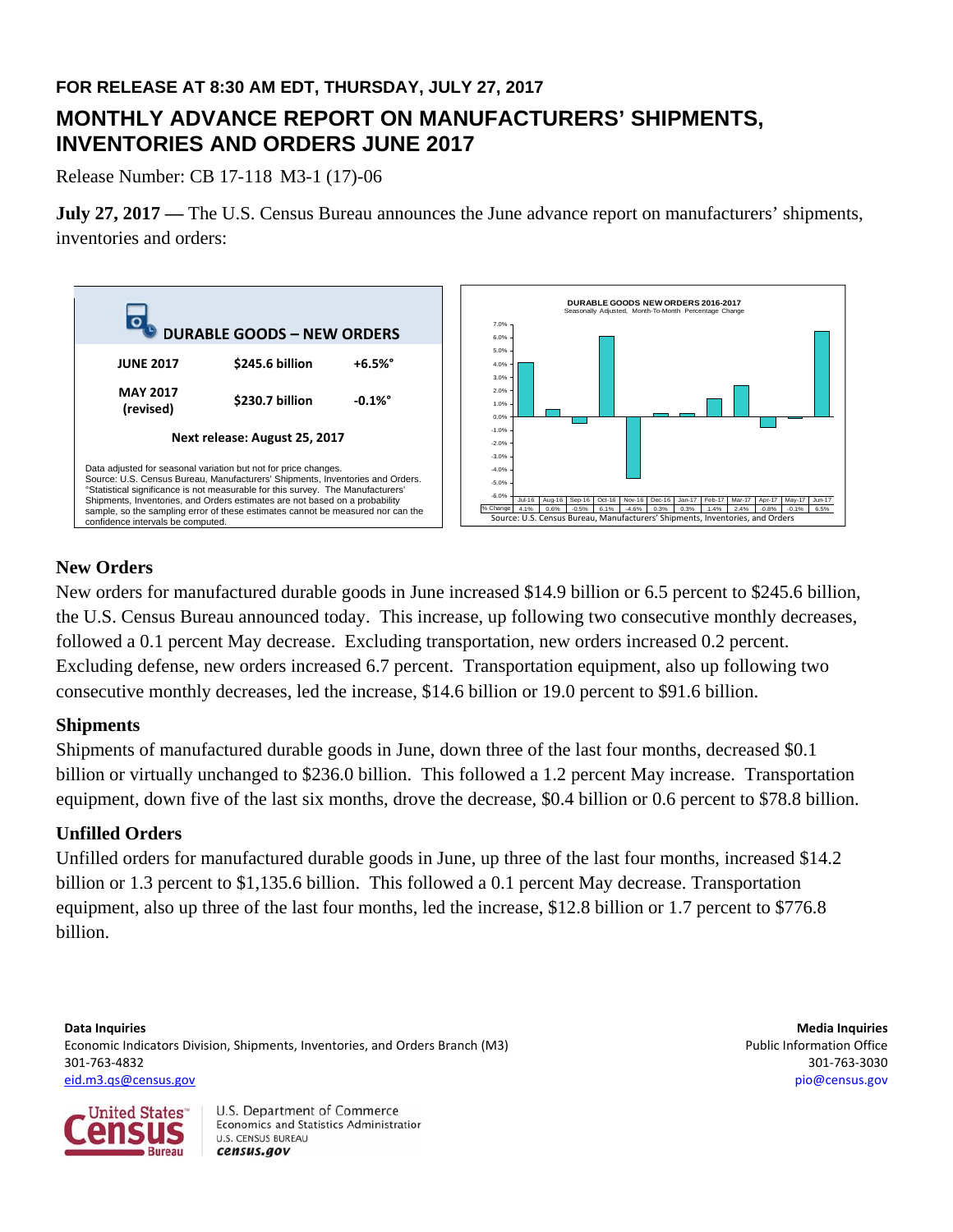### **FOR RELEASE AT 8:30 AM EDT, THURSDAY, JULY 27, 2017**

# **MONTHLY ADVANCE REPORT ON MANUFACTURERS' SHIPMENTS, INVENTORIES AND ORDERS JUNE 2017**

Release Number: CB 17-118 M3-1 (17)-06

**July 27, 2017** — The U.S. Census Bureau announces the June advance report on manufacturers' shipments, inventories and orders:



#### **New Orders**

New orders for manufactured durable goods in June increased \$14.9 billion or 6.5 percent to \$245.6 billion, the U.S. Census Bureau announced today. This increase, up following two consecutive monthly decreases, followed a 0.1 percent May decrease. Excluding transportation, new orders increased 0.2 percent. Excluding defense, new orders increased 6.7 percent. Transportation equipment, also up following two consecutive monthly decreases, led the increase, \$14.6 billion or 19.0 percent to \$91.6 billion.

#### **Shipments**

Shipments of manufactured durable goods in June, down three of the last four months, decreased \$0.1 billion or virtually unchanged to \$236.0 billion. This followed a 1.2 percent May increase. Transportation equipment, down five of the last six months, drove the decrease, \$0.4 billion or 0.6 percent to \$78.8 billion.

#### **Unfilled Orders**

Unfilled orders for manufactured durable goods in June, up three of the last four months, increased \$14.2 billion or 1.3 percent to \$1,135.6 billion. This followed a 0.1 percent May decrease. Transportation equipment, also up three of the last four months, led the increase, \$12.8 billion or 1.7 percent to \$776.8 billion.

**Data Inquiries Media Inquiries** Economic Indicators Division, Shipments, Inventories, and Orders Branch (M3) Public Information Office 301‐763‐4832 301‐763‐3030 eid.m3.qs@census.gov pio@census.gov



U.S. Department of Commerce Economics and Statistics Administration **U.S. CENSUS BUREAU** census.gov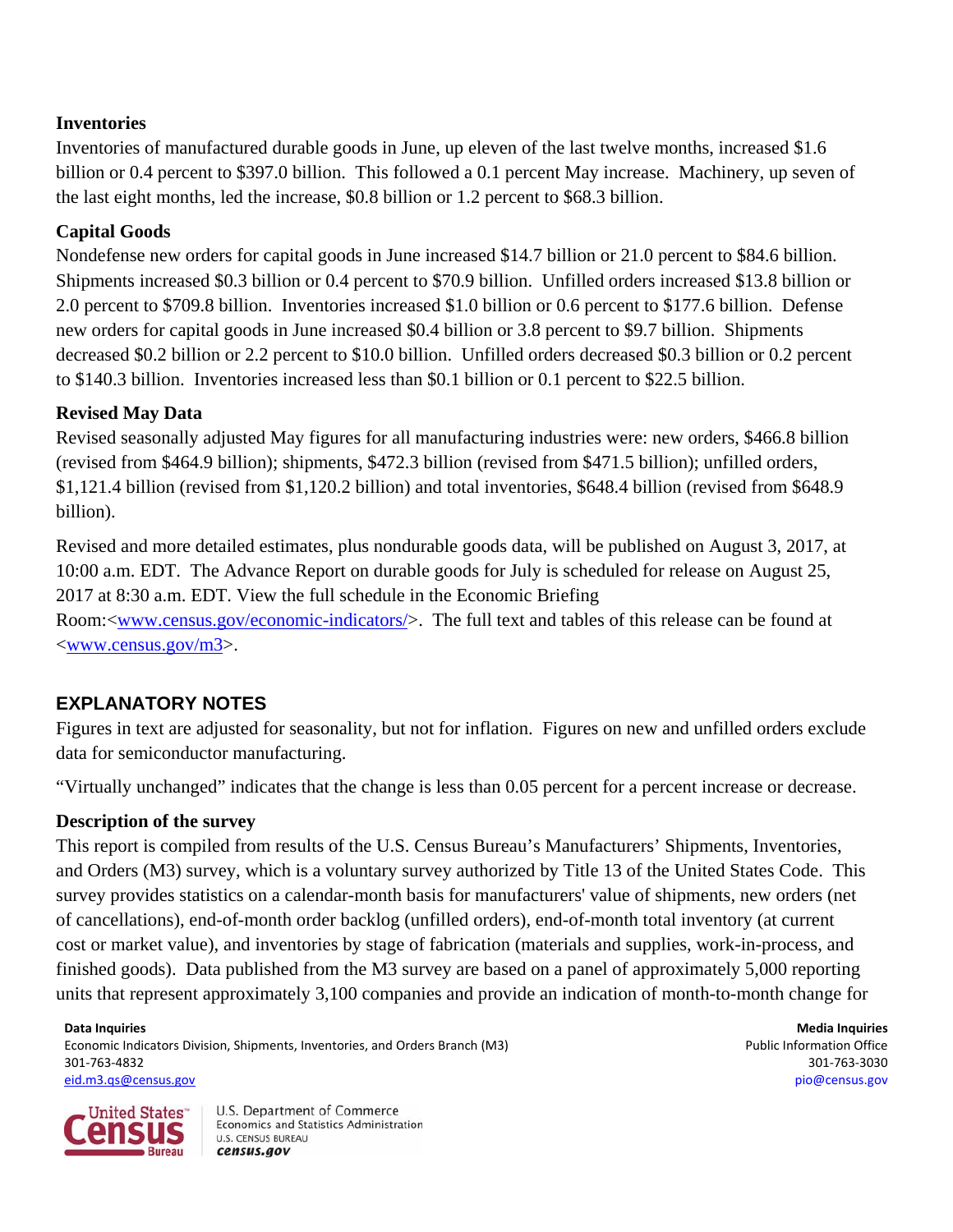#### **Inventories**

Inventories of manufactured durable goods in June, up eleven of the last twelve months, increased \$1.6 billion or 0.4 percent to \$397.0 billion. This followed a 0.1 percent May increase. Machinery, up seven of the last eight months, led the increase, \$0.8 billion or 1.2 percent to \$68.3 billion.

#### **Capital Goods**

Nondefense new orders for capital goods in June increased \$14.7 billion or 21.0 percent to \$84.6 billion. Shipments increased \$0.3 billion or 0.4 percent to \$70.9 billion. Unfilled orders increased \$13.8 billion or 2.0 percent to \$709.8 billion. Inventories increased \$1.0 billion or 0.6 percent to \$177.6 billion. Defense new orders for capital goods in June increased \$0.4 billion or 3.8 percent to \$9.7 billion. Shipments decreased \$0.2 billion or 2.2 percent to \$10.0 billion. Unfilled orders decreased \$0.3 billion or 0.2 percent to \$140.3 billion. Inventories increased less than \$0.1 billion or 0.1 percent to \$22.5 billion.

#### **Revised May Data**

Revised seasonally adjusted May figures for all manufacturing industries were: new orders, \$466.8 billion (revised from \$464.9 billion); shipments, \$472.3 billion (revised from \$471.5 billion); unfilled orders, \$1,121.4 billion (revised from \$1,120.2 billion) and total inventories, \$648.4 billion (revised from \$648.9 billion).

Revised and more detailed estimates, plus nondurable goods data, will be published on August 3, 2017, at 10:00 a.m. EDT. The Advance Report on durable goods for July is scheduled for release on August 25, 2017 at 8:30 a.m. EDT. View the full schedule in the Economic Briefing Room:<www.census.gov/economic-indicators/>. The full text and tables of this release can be found at <www.census.gov/m3>.

## **EXPLANATORY NOTES**

Figures in text are adjusted for seasonality, but not for inflation. Figures on new and unfilled orders exclude data for semiconductor manufacturing.

"Virtually unchanged" indicates that the change is less than 0.05 percent for a percent increase or decrease.

### **Description of the survey**

This report is compiled from results of the U.S. Census Bureau's Manufacturers' Shipments, Inventories, and Orders (M3) survey, which is a voluntary survey authorized by Title 13 of the United States Code. This survey provides statistics on a calendar-month basis for manufacturers' value of shipments, new orders (net of cancellations), end-of-month order backlog (unfilled orders), end-of-month total inventory (at current cost or market value), and inventories by stage of fabrication (materials and supplies, work-in-process, and finished goods). Data published from the M3 survey are based on a panel of approximately 5,000 reporting units that represent approximately 3,100 companies and provide an indication of month-to-month change for

**Data Inquiries Media Inquiries** Economic Indicators Division, Shipments, Inventories, and Orders Branch (M3) **Public Information Office** Public Information Office 301‐763‐4832 301‐763‐3030 eid.m3.qs@census.gov pio@census.gov



U.S. Department of Commerce Economics and Statistics Administration **U.S. CENSUS BUREAU** census.gov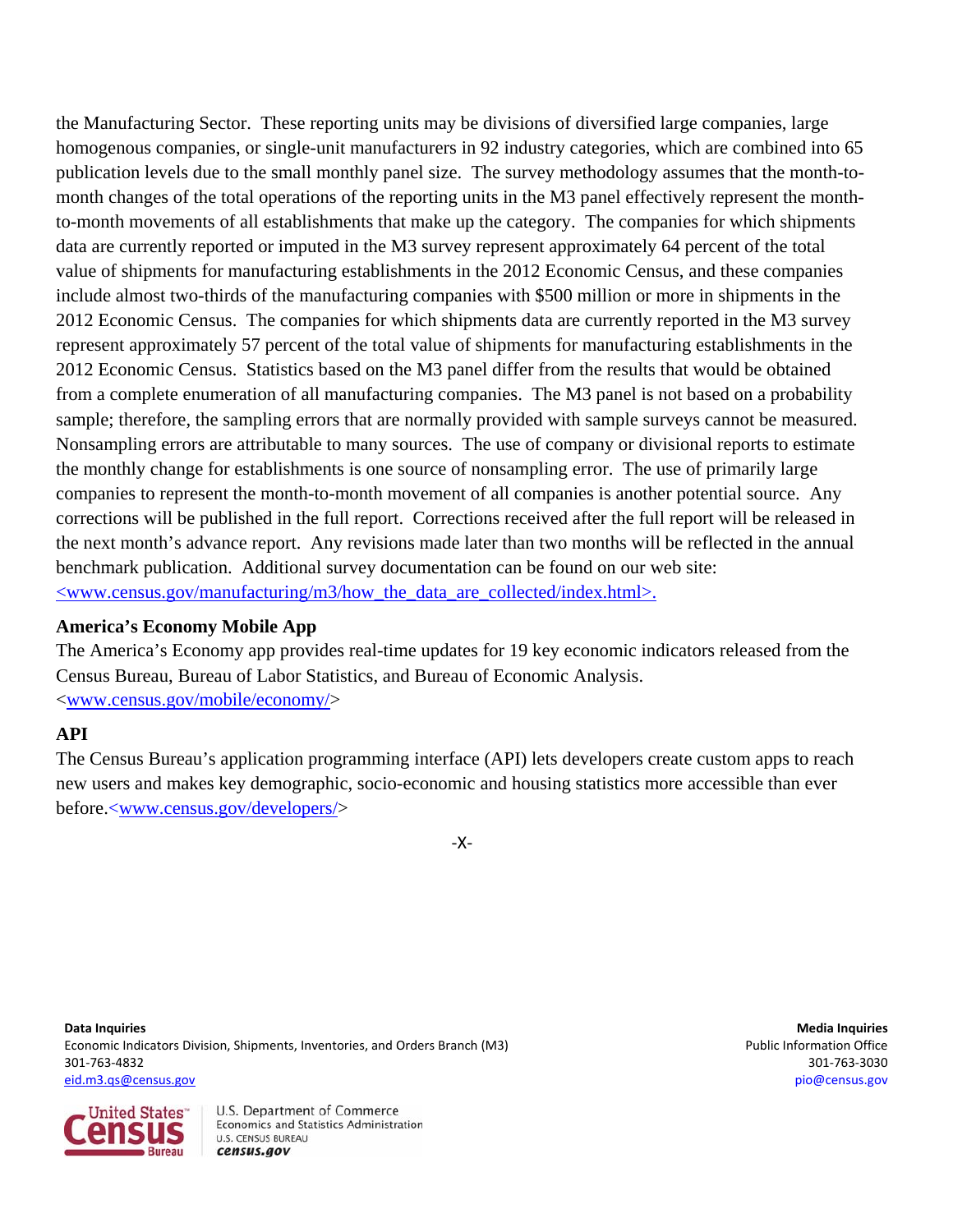the Manufacturing Sector. These reporting units may be divisions of diversified large companies, large homogenous companies, or single-unit manufacturers in 92 industry categories, which are combined into 65 publication levels due to the small monthly panel size. The survey methodology assumes that the month-tomonth changes of the total operations of the reporting units in the M3 panel effectively represent the monthto-month movements of all establishments that make up the category.The companies for which shipments data are currently reported or imputed in the M3 survey represent approximately 64 percent of the total value of shipments for manufacturing establishments in the 2012 Economic Census, and these companies include almost two-thirds of the manufacturing companies with \$500 million or more in shipments in the 2012 Economic Census. The companies for which shipments data are currently reported in the M3 survey represent approximately 57 percent of the total value of shipments for manufacturing establishments in the 2012 Economic Census. Statistics based on the M3 panel differ from the results that would be obtained from a complete enumeration of all manufacturing companies. The M3 panel is not based on a probability sample; therefore, the sampling errors that are normally provided with sample surveys cannot be measured. Nonsampling errors are attributable to many sources. The use of company or divisional reports to estimate the monthly change for establishments is one source of nonsampling error. The use of primarily large companies to represent the month-to-month movement of all companies is another potential source. Any corrections will be published in the full report. Corrections received after the full report will be released in the next month's advance report. Any revisions made later than two months will be reflected in the annual benchmark publication.Additional survey documentation can be found on our web site:  $\langle$ www.census.gov/manufacturing/m3/how the data are collected/index.html>.

#### **America's Economy Mobile App**

The America's Economy app provides real-time updates for 19 key economic indicators released from the Census Bureau, Bureau of Labor Statistics, and Bureau of Economic Analysis. <www.census.gov/mobile/economy/>

#### **API**

The Census Bureau's application programming interface (API) lets developers create custom apps to reach new users and makes key demographic, socio-economic and housing statistics more accessible than ever before.<www.census.gov/developers/>

‐X‐

**Data Inquiries Media Inquiries** Economic Indicators Division, Shipments, Inventories, and Orders Branch (M3) **Public Information Office** Public Information Office 301‐763‐4832 301‐763‐3030 eid.m3.qs@census.gov pio@census.gov



U.S. Department of Commerce Economics and Statistics Administration **U.S. CENSUS BUREAU** census.gov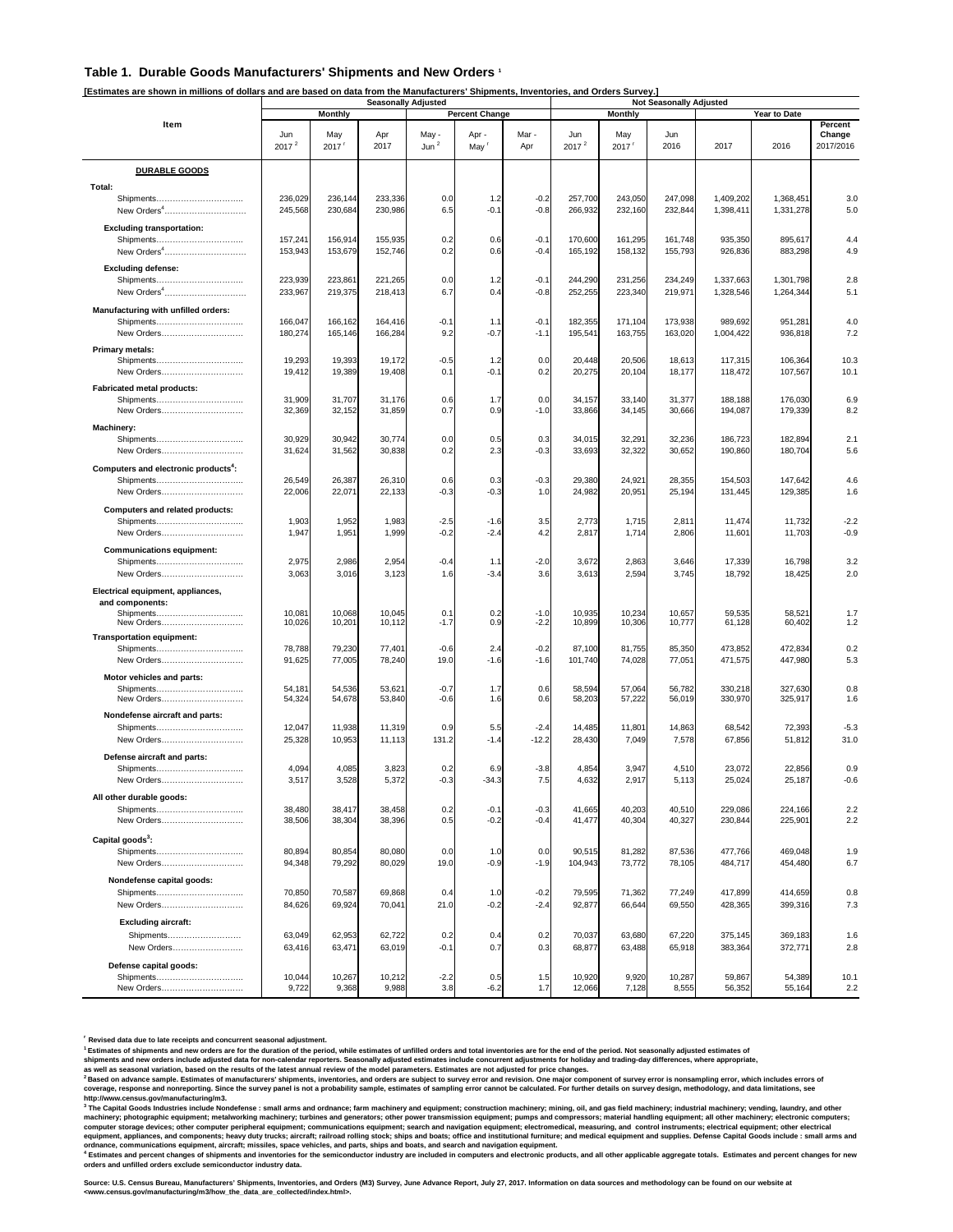#### **Table 1. Durable Goods Manufacturers' Shipments and New Orders 1**

**[Estimates are shown in millions of dollars and are based on data from the Manufacturers' Shipments, Inventories, and Orders Survey.]**

|                                                  | <b>Seasonally Adjusted</b> |                    |                    |                           |                           |                  |                    |                    |                    |                        |                        |                                |
|--------------------------------------------------|----------------------------|--------------------|--------------------|---------------------------|---------------------------|------------------|--------------------|--------------------|--------------------|------------------------|------------------------|--------------------------------|
|                                                  |                            | <b>Monthly</b>     |                    |                           | <b>Percent Change</b>     |                  |                    | <b>Monthly</b>     |                    |                        | Year to Date           |                                |
| Item                                             | Jun<br>2017 <sup>2</sup>   | May<br>2017        | Apr<br>2017        | May -<br>Jun <sup>2</sup> | Apr -<br>May <sup>1</sup> | Mar -<br>Apr     | Jun<br>$2017^2$    | May<br>2017        | Jun<br>2016        | 2017                   | 2016                   | Percent<br>Change<br>2017/2016 |
| <b>DURABLE GOODS</b>                             |                            |                    |                    |                           |                           |                  |                    |                    |                    |                        |                        |                                |
|                                                  |                            |                    |                    |                           |                           |                  |                    |                    |                    |                        |                        |                                |
| Total:<br>Shipments<br>New Orders <sup>4</sup>   | 236,029<br>245,568         | 236.144<br>230,684 | 233,336<br>230,986 | 0.0<br>6.5                | 1.2<br>$-0.1$             | $-0.2$<br>$-0.8$ | 257,700<br>266,932 | 243,050<br>232,160 | 247,098<br>232,844 | 1,409,202<br>1,398,411 | 1,368,451<br>1,331,278 | 3.0<br>5.0                     |
| <b>Excluding transportation:</b>                 |                            |                    |                    |                           |                           |                  |                    |                    |                    |                        |                        |                                |
| Shipments<br>New Orders <sup>4</sup>             | 157,241<br>153,943         | 156,914<br>153,679 | 155,935<br>152,746 | 0.2<br>0.2                | 0.6<br>0.6                | $-0.1$<br>$-0.4$ | 170,600<br>165,192 | 161,295<br>158,132 | 161,748<br>155,793 | 935,350<br>926,836     | 895,617<br>883,298     | 4.4<br>4.9                     |
| <b>Excluding defense:</b>                        |                            |                    |                    |                           |                           |                  |                    |                    |                    |                        |                        |                                |
| Shipments                                        | 223,939                    | 223,861            | 221,265            | 0.0                       | 1.2                       | $-0.1$           | 244,290            | 231,256            | 234,249            | 1.337.663              | 1,301,798              | 2.8                            |
| New Orders <sup>4</sup>                          | 233,967                    | 219,375            | 218,413            | 6.7                       | 0.4                       | $-0.8$           | 252,255            | 223,340            | 219,971            | 1,328,546              | 1,264,344              | 5.1                            |
| Manufacturing with unfilled orders:              |                            |                    |                    |                           |                           |                  |                    |                    |                    |                        |                        |                                |
| Shipments                                        | 166,047                    | 166,162            | 164,416            | $-0.1$                    | 1.1                       | $-0.1$           | 182,355            | 171,104            | 173,938            | 989,692                | 951,281                | 4.0                            |
| New Orders                                       | 180,274                    | 165,146            | 166,284            | 9.2                       | $-0.7$                    | $-1.1$           | 195,541            | 163,755            | 163,020            | 1,004,422              | 936,818                | 7.2                            |
| Primary metals:                                  |                            |                    |                    |                           |                           |                  |                    |                    |                    |                        |                        |                                |
| Shipments<br>New Orders                          | 19,293<br>19,412           | 19,393<br>19,389   | 19,172<br>19,408   | $-0.5$<br>0.1             | 1.2<br>$-0.1$             | 0.0<br>0.2       | 20,448<br>20,275   | 20,506<br>20,104   | 18,613<br>18,177   | 117,315<br>118,472     | 106,364<br>107,567     | 10.3<br>10.1                   |
|                                                  |                            |                    |                    |                           |                           |                  |                    |                    |                    |                        |                        |                                |
| <b>Fabricated metal products:</b><br>Shipments   | 31,909                     | 31,707             | 31,176             | 0.6                       | 1.7                       | 0.0              | 34,157             | 33,140             | 31,377             | 188,188                | 176,030                | 6.9                            |
| New Orders                                       | 32,369                     | 32,152             | 31,859             | 0.7                       | 0.9                       | $-1.0$           | 33,866             | 34,145             | 30,666             | 194,087                | 179,339                | 8.2                            |
| Machinery:                                       |                            |                    |                    |                           |                           |                  |                    |                    |                    |                        |                        |                                |
| Shipments                                        | 30,929                     | 30,942             | 30,774             | 0.0                       | 0.5                       | 0.3              | 34,015             | 32,291             | 32,236             | 186,723                | 182,894                | 2.1                            |
| New Orders                                       | 31,624                     | 31,562             | 30,838             | 0.2                       | 2.3                       | $-0.3$           | 33,693             | 32,322             | 30,652             | 190,860                | 180,704                | 5.6                            |
| Computers and electronic products <sup>4</sup> : |                            |                    |                    |                           |                           |                  |                    |                    |                    |                        |                        |                                |
| Shipments                                        | 26,549                     | 26,387             | 26,310             | 0.6                       | 0.3                       | $-0.3$           | 29,380             | 24,921             | 28,355             | 154,503                | 147,642                | 4.6                            |
| New Orders                                       | 22,006                     | 22,071             | 22,133             | $-0.3$                    | $-0.3$                    | 1.0              | 24,982             | 20,95'             | 25,194             | 131,445                | 129,385                | 1.6                            |
| Computers and related products:                  |                            |                    |                    |                           |                           |                  |                    |                    |                    |                        |                        |                                |
| Shipments                                        | 1,903                      | 1,952              | 1,983              | $-2.5$                    | $-1.6$                    | 3.5              | 2,773              | 1,715              | 2,811              | 11,474                 | 11,732                 | $-2.2$                         |
| New Orders                                       | 1,947                      | 1,951              | 1,999              | $-0.2$                    | $-2.4$                    | 4.2              | 2,817              | 1,714              | 2,806              | 11,601                 | 11,703                 | $-0.9$                         |
| <b>Communications equipment:</b>                 |                            |                    |                    |                           |                           |                  |                    |                    |                    |                        |                        |                                |
| Shipments                                        | 2,975                      | 2,986              | 2,954              | $-0.4$                    | 1.1                       | $-2.0$           | 3,672              | 2,863              | 3,646              | 17,339                 | 16,798                 | 3.2                            |
| New Orders                                       | 3,063                      | 3,016              | 3,123              | 1.6                       | $-3.4$                    | 3.6              | 3,613              | 2,594              | 3,745              | 18,792                 | 18,425                 | 2.0                            |
| Electrical equipment, appliances,                |                            |                    |                    |                           |                           |                  |                    |                    |                    |                        |                        |                                |
| and components:                                  |                            |                    |                    |                           |                           |                  |                    |                    |                    |                        |                        |                                |
| Shipments<br>New Orders                          | 10,081<br>10,026           | 10,068<br>10,201   | 10,045<br>10,112   | 0.1<br>$-1.7$             | 0.2<br>0.9                | $-1.0$<br>$-2.2$ | 10,935<br>10,899   | 10,234<br>10,306   | 10,657<br>10,777   | 59,535<br>61,128       | 58,521<br>60,402       | 1.7<br>1.2                     |
| <b>Transportation equipment:</b>                 |                            |                    |                    |                           |                           |                  |                    |                    |                    |                        |                        |                                |
| Shipments                                        | 78,788                     | 79,230             | 77,401             | $-0.6$                    | 2.4                       | $-0.2$           | 87,100             | 81,755             | 85,350             | 473,852                | 472,834                | 0.2                            |
| New Orders                                       | 91,625                     | 77,005             | 78,240             | 19.0                      | $-1.6$                    | $-1.6$           | 101,740            | 74,028             | 77,051             | 471,575                | 447,980                | 5.3                            |
| Motor vehicles and parts:                        |                            |                    |                    |                           |                           |                  |                    |                    |                    |                        |                        |                                |
| Shipments                                        | 54,181                     | 54,536             | 53,621             | $-0.7$                    | 1.7                       | 0.6              | 58,594             | 57,064             | 56,782             | 330,218                | 327,630                | 0.8                            |
| New Orders                                       | 54,324                     | 54,678             | 53,840             | $-0.6$                    | 1.6                       | 0.6              | 58,203             | 57,222             | 56,019             | 330,970                | 325,917                | 1.6                            |
| Nondefense aircraft and parts:                   |                            |                    |                    |                           |                           |                  |                    |                    |                    |                        |                        |                                |
| Shipments                                        | 12,047                     | 11,938             | 11,319             | 0.9                       | 5.5                       | $-2.4$           | 14,485             | 11,801             | 14,863             | 68,542                 | 72,393                 | $-5.3$                         |
| New Orders                                       | 25,328                     | 10,953             | 11,113             | 131.2                     | $-1.4$                    | $-12.2$          | 28,430             | 7,049              | 7,578              | 67,856                 | 51,812                 | 31.0                           |
| Defense aircraft and parts:                      |                            |                    |                    |                           |                           |                  |                    |                    |                    |                        |                        |                                |
| Shipments<br>New Orders                          | 4,094<br>3,517             | 4,085<br>3,528     | 3,823<br>5,372     | 0.2<br>$-0.3$             | 6.9<br>$-34.3$            | $-3.8$<br>7.5    | 4,854<br>4,632     | 3,947<br>2,917     | 4,510<br>5,113     | 23,072<br>25,024       | 22,856<br>25,187       | 0.9<br>$-0.6$                  |
|                                                  |                            |                    |                    |                           |                           |                  |                    |                    |                    |                        |                        |                                |
| All other durable goods:                         |                            |                    |                    |                           |                           |                  |                    |                    |                    |                        |                        |                                |
| Shipments<br>New Orders                          | 38,480<br>38,506           | 38,417<br>38,304   | 38,458<br>38,396   | 0.2<br>0.5                | $-0.1$<br>$-0.2$          | $-0.3$<br>$-0.4$ | 41,665<br>41,477   | 40,203<br>40,304   | 40,510<br>40,327   | 229,086<br>230,844     | 224,166<br>225,901     | 2.2<br>2.2                     |
|                                                  |                            |                    |                    |                           |                           |                  |                    |                    |                    |                        |                        |                                |
| Capital goods <sup>3</sup> :                     |                            |                    |                    |                           |                           |                  |                    |                    |                    |                        | 469.048                |                                |
| Shipments<br>New Orders                          | 80,894<br>94,348           | 80,854<br>79,292   | 80,080<br>80,029   | 0.0<br>19.0               | 1.0<br>$-0.9$             | 0.0<br>$-1.9$    | 90,515<br>104,943  | 81,282<br>73,772   | 87,536<br>78,105   | 477,766<br>484,717     | 454,480                | 1.9<br>6.7                     |
|                                                  |                            |                    |                    |                           |                           |                  |                    |                    |                    |                        |                        |                                |
| Nondefense capital goods:<br>Shipments           | 70,850                     | 70,587             | 69,868             | 0.4                       | 1.0                       | $-0.2$           | 79,595             | 71,362             | 77,249             | 417,899                | 414,659                | 0.8                            |
| New Orders                                       | 84,626                     | 69,924             | 70,041             | 21.0                      | $-0.2$                    | $-2.4$           | 92,877             | 66,644             | 69,550             | 428,365                | 399,316                | 7.3                            |
|                                                  |                            |                    |                    |                           |                           |                  |                    |                    |                    |                        |                        |                                |
| <b>Excluding aircraft:</b><br>Shipments          | 63,049                     | 62,953             | 62,722             | 0.2                       | 0.4                       | 0.2              | 70,037             | 63,680             | 67,220             | 375.145                | 369.183                | 1.6                            |
| New Orders                                       | 63,416                     | 63,471             | 63,019             | $-0.1$                    | 0.7                       | 0.3              | 68,877             | 63,488             | 65,918             | 383,364                | 372,771                | 2.8                            |
|                                                  |                            |                    |                    |                           |                           |                  |                    |                    |                    |                        |                        |                                |
| Defense capital goods:<br>Shipments              | 10,044                     | 10,267             | 10,212             | $-2.2$                    | 0.5                       | 1.5              | 10,920             | 9,920              | 10,287             | 59,867                 | 54,389                 | 10.1                           |
| New Orders                                       | 9,722                      | 9,368              | 9,988              | 3.8                       | $-6.2$                    | 1.7              | 12,066             | 7,128              | 8,555              | 56,352                 | 55,164                 | 2.2                            |
|                                                  |                            |                    |                    |                           |                           |                  |                    |                    |                    |                        |                        |                                |

**r Revised data due to late receipts and concurrent seasonal adjustment.** 

<sup>1</sup> Estimates of shipments and new orders are for the duration of the period, while estimates of unfilled orders and total inventories are for the end of the period. Not seasonally adjusted estimates of<br>shipments and new o

as well as seasonal variation, based on the results of the latest annual review of the model parameters. Estimates are not adjusted for price changes.<br><sup>2</sup> Based on advance sample. Estimates of manufacturers' shipments, inv

<sup>3</sup> The Capital Goods Industries include Nondefense : small arms and ordnance; farm machinery and equipment; construction machinery; mining, oil, and gas field machinery; industrial machinery; vending, laundry, and other c

\* Estimates and percent changes of shipments and inventories for the semiconductor industry are included in computers and electronic products, and all other applicable aggregate totals. Estimates and percent changes for ne

Source: U.S. Census Bureau, Manufacturers' Shipments, Inventories, and Orders (M3) Survey, June Advance Report, July 27, 2017. Information on data sources and methodology can be found on our website at<br><www.census.gov/manu